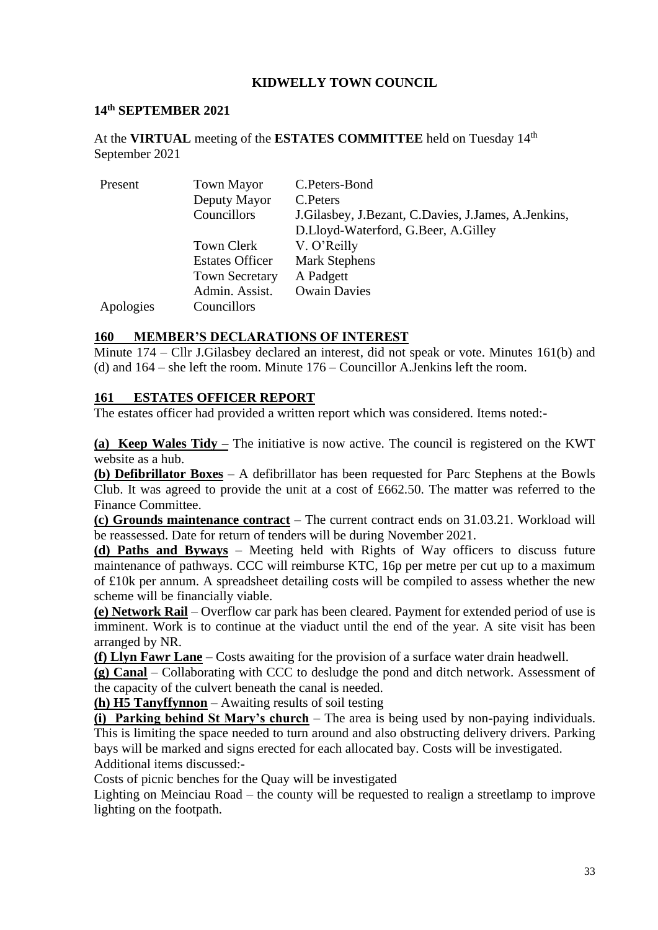## **KIDWELLY TOWN COUNCIL**

#### **14 th SEPTEMBER 2021**

At the **VIRTUAL** meeting of the **ESTATES COMMITTEE** held on Tuesday 14 th September 2021

| Present   | <b>Town Mayor</b>      | C.Peters-Bond                                            |
|-----------|------------------------|----------------------------------------------------------|
|           | Deputy Mayor           | C. Peters                                                |
|           | Councillors            | J. Gilasbey, J. Bezant, C. Davies, J. James, A. Jenkins, |
|           |                        | D.Lloyd-Waterford, G.Beer, A.Gilley                      |
|           | Town Clerk             | V. O'Reilly                                              |
|           | <b>Estates Officer</b> | <b>Mark Stephens</b>                                     |
|           | <b>Town Secretary</b>  | A Padgett                                                |
|           | Admin. Assist.         | <b>Owain Davies</b>                                      |
| Apologies | Councillors            |                                                          |

#### **160 MEMBER'S DECLARATIONS OF INTEREST**

Minute 174 – Cllr J.Gilasbey declared an interest, did not speak or vote. Minutes 161(b) and (d) and 164 – she left the room. Minute 176 – Councillor A.Jenkins left the room.

#### **161 ESTATES OFFICER REPORT**

The estates officer had provided a written report which was considered. Items noted:-

**(a) Keep Wales Tidy –** The initiative is now active. The council is registered on the KWT website as a hub.

**(b) Defibrillator Boxes** – A defibrillator has been requested for Parc Stephens at the Bowls Club. It was agreed to provide the unit at a cost of £662.50. The matter was referred to the Finance Committee.

**(c) Grounds maintenance contract** – The current contract ends on 31.03.21. Workload will be reassessed. Date for return of tenders will be during November 2021.

**(d) Paths and Byways** – Meeting held with Rights of Way officers to discuss future maintenance of pathways. CCC will reimburse KTC, 16p per metre per cut up to a maximum of £10k per annum. A spreadsheet detailing costs will be compiled to assess whether the new scheme will be financially viable.

**(e) Network Rail** – Overflow car park has been cleared. Payment for extended period of use is imminent. Work is to continue at the viaduct until the end of the year. A site visit has been arranged by NR.

**(f) Llyn Fawr Lane** – Costs awaiting for the provision of a surface water drain headwell.

**(g) Canal** – Collaborating with CCC to desludge the pond and ditch network. Assessment of the capacity of the culvert beneath the canal is needed.

**(h) H5 Tanyffynnon** – Awaiting results of soil testing

**(i) Parking behind St Mary's church** – The area is being used by non-paying individuals. This is limiting the space needed to turn around and also obstructing delivery drivers. Parking bays will be marked and signs erected for each allocated bay. Costs will be investigated. Additional items discussed:-

Costs of picnic benches for the Quay will be investigated

Lighting on Meinciau Road – the county will be requested to realign a streetlamp to improve lighting on the footpath.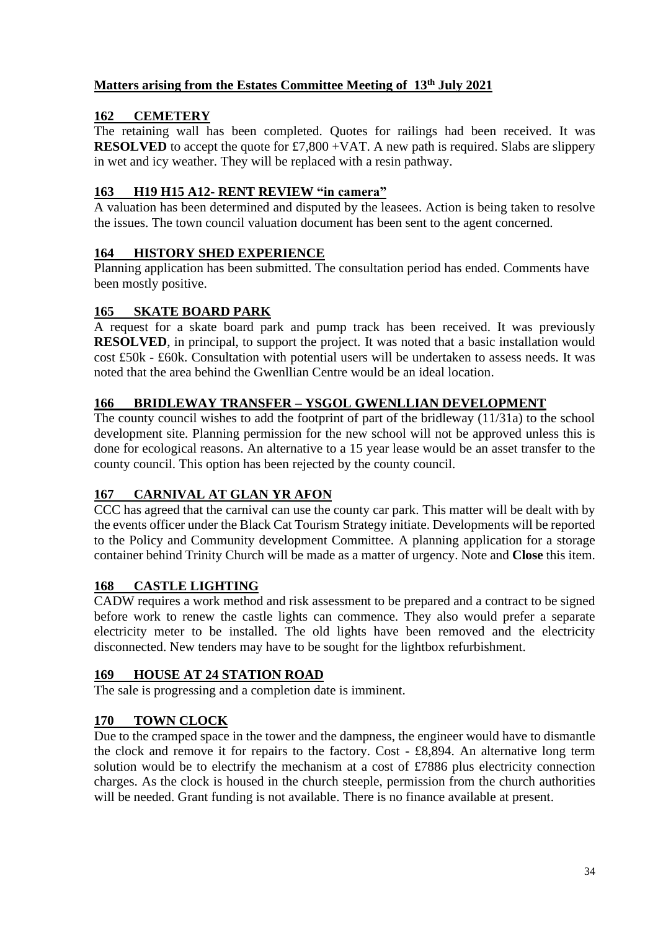# **Matters arising from the Estates Committee Meeting of 13 th July 2021**

## **162 CEMETERY**

The retaining wall has been completed. Quotes for railings had been received. It was **RESOLVED** to accept the quote for £7,800 +VAT. A new path is required. Slabs are slippery in wet and icy weather. They will be replaced with a resin pathway.

## **163 H19 H15 A12- RENT REVIEW "in camera"**

A valuation has been determined and disputed by the leasees. Action is being taken to resolve the issues. The town council valuation document has been sent to the agent concerned.

## **164 HISTORY SHED EXPERIENCE**

Planning application has been submitted. The consultation period has ended. Comments have been mostly positive.

## **165 SKATE BOARD PARK**

A request for a skate board park and pump track has been received. It was previously **RESOLVED**, in principal, to support the project. It was noted that a basic installation would cost £50k - £60k. Consultation with potential users will be undertaken to assess needs. It was noted that the area behind the Gwenllian Centre would be an ideal location.

#### **166 BRIDLEWAY TRANSFER – YSGOL GWENLLIAN DEVELOPMENT**

The county council wishes to add the footprint of part of the bridleway (11/31a) to the school development site. Planning permission for the new school will not be approved unless this is done for ecological reasons. An alternative to a 15 year lease would be an asset transfer to the county council. This option has been rejected by the county council.

## **167 CARNIVAL AT GLAN YR AFON**

CCC has agreed that the carnival can use the county car park. This matter will be dealt with by the events officer under the Black Cat Tourism Strategy initiate. Developments will be reported to the Policy and Community development Committee. A planning application for a storage container behind Trinity Church will be made as a matter of urgency. Note and **Close** this item.

## **168 CASTLE LIGHTING**

CADW requires a work method and risk assessment to be prepared and a contract to be signed before work to renew the castle lights can commence. They also would prefer a separate electricity meter to be installed. The old lights have been removed and the electricity disconnected. New tenders may have to be sought for the lightbox refurbishment.

## **169 HOUSE AT 24 STATION ROAD**

The sale is progressing and a completion date is imminent.

## **170 TOWN CLOCK**

Due to the cramped space in the tower and the dampness, the engineer would have to dismantle the clock and remove it for repairs to the factory. Cost - £8,894. An alternative long term solution would be to electrify the mechanism at a cost of £7886 plus electricity connection charges. As the clock is housed in the church steeple, permission from the church authorities will be needed. Grant funding is not available. There is no finance available at present.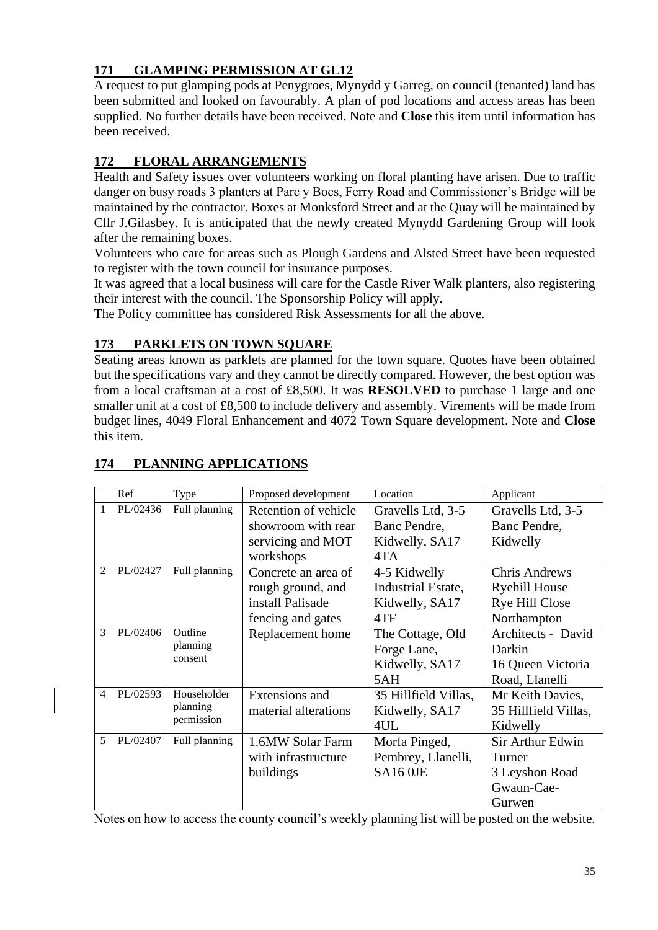# **171 GLAMPING PERMISSION AT GL12**

A request to put glamping pods at Penygroes, Mynydd y Garreg, on council (tenanted) land has been submitted and looked on favourably. A plan of pod locations and access areas has been supplied. No further details have been received. Note and **Close** this item until information has been received.

# **172 FLORAL ARRANGEMENTS**

Health and Safety issues over volunteers working on floral planting have arisen. Due to traffic danger on busy roads 3 planters at Parc y Bocs, Ferry Road and Commissioner's Bridge will be maintained by the contractor. Boxes at Monksford Street and at the Quay will be maintained by Cllr J.Gilasbey. It is anticipated that the newly created Mynydd Gardening Group will look after the remaining boxes.

Volunteers who care for areas such as Plough Gardens and Alsted Street have been requested to register with the town council for insurance purposes.

It was agreed that a local business will care for the Castle River Walk planters, also registering their interest with the council. The Sponsorship Policy will apply.

The Policy committee has considered Risk Assessments for all the above.

# **173 PARKLETS ON TOWN SOUARE**

Seating areas known as parklets are planned for the town square. Quotes have been obtained but the specifications vary and they cannot be directly compared. However, the best option was from a local craftsman at a cost of £8,500. It was **RESOLVED** to purchase 1 large and one smaller unit at a cost of £8,500 to include delivery and assembly. Virements will be made from budget lines, 4049 Floral Enhancement and 4072 Town Square development. Note and **Close** this item.

|                | Ref      | Type                                  | Proposed development | Location             | Applicant             |
|----------------|----------|---------------------------------------|----------------------|----------------------|-----------------------|
| 1              | PL/02436 | Full planning                         | Retention of vehicle | Gravells Ltd, 3-5    | Gravells Ltd, 3-5     |
|                |          |                                       | showroom with rear   | Banc Pendre.         | Banc Pendre,          |
|                |          |                                       | servicing and MOT    | Kidwelly, SA17       | Kidwelly              |
|                |          |                                       | workshops            | 4TA                  |                       |
| $\overline{2}$ | PL/02427 | Full planning                         | Concrete an area of  | 4-5 Kidwelly         | <b>Chris Andrews</b>  |
|                |          |                                       | rough ground, and    | Industrial Estate,   | <b>Ryehill House</b>  |
|                |          |                                       | install Palisade     | Kidwelly, SA17       | <b>Rye Hill Close</b> |
|                |          |                                       | fencing and gates    | 4TF                  | Northampton           |
| 3              | PL/02406 | Outline                               | Replacement home     | The Cottage, Old     | Architects - David    |
|                |          | planning                              |                      | Forge Lane,          | Darkin                |
|                | consent  |                                       |                      | Kidwelly, SA17       | 16 Queen Victoria     |
|                |          |                                       |                      | 5AH                  | Road, Llanelli        |
| $\overline{4}$ | PL/02593 | Householder<br>planning<br>permission | Extensions and       | 35 Hillfield Villas, | Mr Keith Davies,      |
|                |          |                                       | material alterations | Kidwelly, SA17       | 35 Hillfield Villas,  |
|                |          |                                       |                      | 4UL                  | Kidwelly              |
| 5              | PL/02407 | Full planning                         | 1.6MW Solar Farm     | Morfa Pinged,        | Sir Arthur Edwin      |
|                |          |                                       | with infrastructure  | Pembrey, Llanelli,   | Turner                |
|                |          |                                       | buildings            | SA16 OJE             | 3 Leyshon Road        |
|                |          |                                       |                      |                      | Gwaun-Cae-            |
|                |          |                                       |                      |                      | Gurwen                |

# **174 PLANNING APPLICATIONS**

Notes on how to access the county council's weekly planning list will be posted on the website.